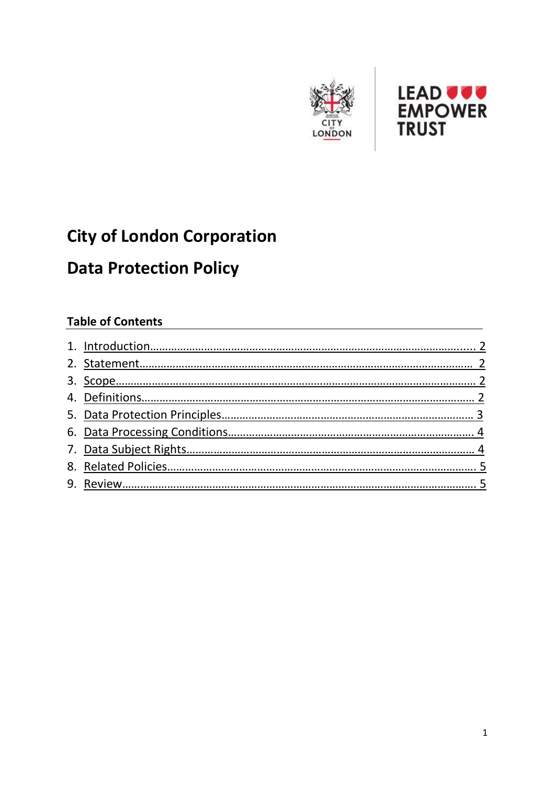



# **City of London Corporation**

## **Data Protection Policy**

## **Table of Contents**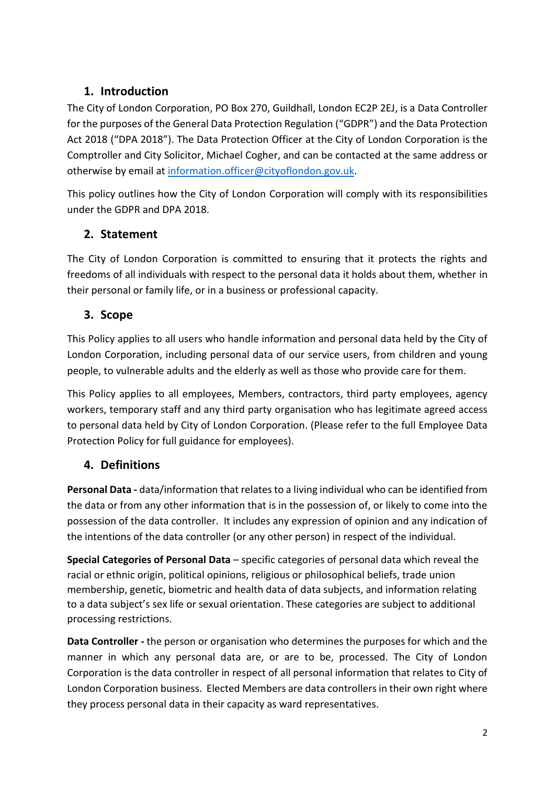### <span id="page-1-0"></span>**1. Introduction**

The City of London Corporation, PO Box 270, Guildhall, London EC2P 2EJ, is a Data Controller for the purposes of the General Data Protection Regulation ("GDPR") and the Data Protection Act 2018 ("DPA 2018"). The Data Protection Officer at the City of London Corporation is the Comptroller and City Solicitor, Michael Cogher, and can be contacted at the same address or otherwise by email at [information.officer@cityoflondon.gov.uk.](mailto:information.officer@cityoflondon.gov.uk)

This policy outlines how the City of London Corporation will comply with its responsibilities under the GDPR and DPA 2018.

### <span id="page-1-1"></span>**2. Statement**

The City of London Corporation is committed to ensuring that it protects the rights and freedoms of all individuals with respect to the personal data it holds about them, whether in their personal or family life, or in a business or professional capacity.

### <span id="page-1-2"></span>**3. Scope**

This Policy applies to all users who handle information and personal data held by the City of London Corporation, including personal data of our service users, from children and young people, to vulnerable adults and the elderly as well as those who provide care for them.

This Policy applies to all employees, Members, contractors, third party employees, agency workers, temporary staff and any third party organisation who has legitimate agreed access to personal data held by City of London Corporation. (Please refer to the full Employee Data Protection Policy for full guidance for employees).

#### <span id="page-1-3"></span>**4. Definitions**

**Personal Data -** data/information that relates to a living individual who can be identified from the data or from any other information that is in the possession of, or likely to come into the possession of the data controller. It includes any expression of opinion and any indication of the intentions of the data controller (or any other person) in respect of the individual.

**Special Categories of Personal Data** – specific categories of personal data which reveal the racial or ethnic origin, political opinions, religious or philosophical beliefs, trade union membership, genetic, biometric and health data of data subjects, and information relating to a data subject's sex life or sexual orientation. These categories are subject to additional processing restrictions.

**Data Controller -** the person or organisation who determines the purposes for which and the manner in which any personal data are, or are to be, processed. The City of London Corporation is the data controller in respect of all personal information that relates to City of London Corporation business. Elected Members are data controllers in their own right where they process personal data in their capacity as ward representatives.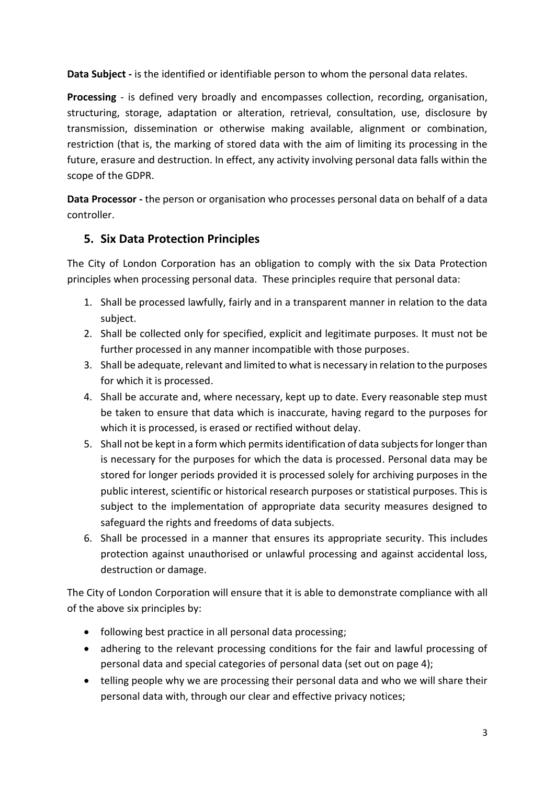**Data Subject -** is the identified or identifiable person to whom the personal data relates.

**Processing** - is defined very broadly and encompasses collection, recording, organisation, structuring, storage, adaptation or alteration, retrieval, consultation, use, disclosure by transmission, dissemination or otherwise making available, alignment or combination, restriction (that is, the marking of stored data with the aim of limiting its processing in the future, erasure and destruction. In effect, any activity involving personal data falls within the scope of the GDPR.

**Data Processor -** the person or organisation who processes personal data on behalf of a data controller.

### <span id="page-2-0"></span>**5. Six Data Protection Principles**

The City of London Corporation has an obligation to comply with the six Data Protection principles when processing personal data. These principles require that personal data:

- 1. Shall be processed lawfully, fairly and in a transparent manner in relation to the data subject.
- 2. Shall be collected only for specified, explicit and legitimate purposes. It must not be further processed in any manner incompatible with those purposes.
- 3. Shall be adequate, relevant and limited to what is necessary in relation to the purposes for which it is processed.
- 4. Shall be accurate and, where necessary, kept up to date. Every reasonable step must be taken to ensure that data which is inaccurate, having regard to the purposes for which it is processed, is erased or rectified without delay.
- 5. Shall not be kept in a form which permits identification of data subjects for longer than is necessary for the purposes for which the data is processed. Personal data may be stored for longer periods provided it is processed solely for archiving purposes in the public interest, scientific or historical research purposes or statistical purposes. This is subject to the implementation of appropriate data security measures designed to safeguard the rights and freedoms of data subjects.
- 6. Shall be processed in a manner that ensures its appropriate security. This includes protection against unauthorised or unlawful processing and against accidental loss, destruction or damage.

The City of London Corporation will ensure that it is able to demonstrate compliance with all of the above six principles by:

- following best practice in all personal data processing;
- adhering to the relevant processing conditions for the fair and lawful processing of personal data and special categories of personal data (set out on page 4);
- telling people why we are processing their personal data and who we will share their personal data with, through our clear and effective privacy notices;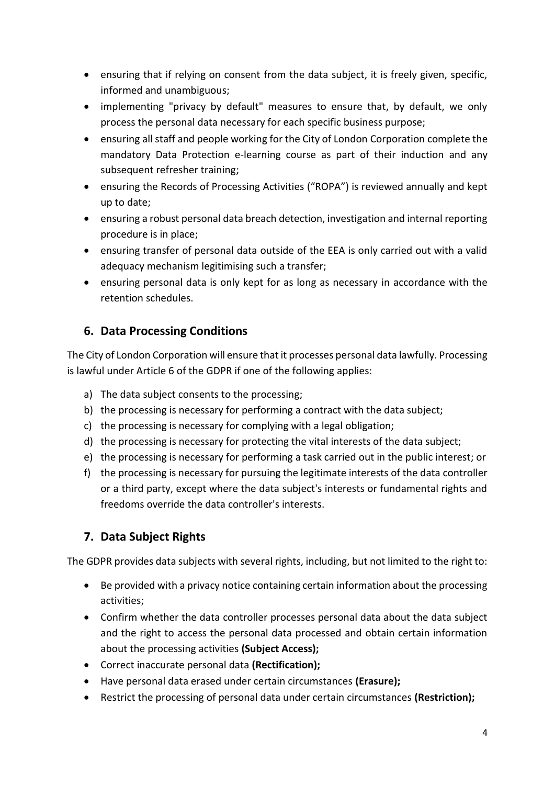- ensuring that if relying on consent from the data subject, it is freely given, specific, informed and unambiguous;
- implementing "privacy by default" measures to ensure that, by default, we only process the personal data necessary for each specific business purpose;
- ensuring all staff and people working for the City of London Corporation complete the mandatory Data Protection e-learning course as part of their induction and any subsequent refresher training;
- ensuring the Records of Processing Activities ("ROPA") is reviewed annually and kept up to date;
- ensuring a robust personal data breach detection, investigation and internal reporting procedure is in place;
- ensuring transfer of personal data outside of the EEA is only carried out with a valid adequacy mechanism legitimising such a transfer;
- ensuring personal data is only kept for as long as necessary in accordance with the retention schedules.

## <span id="page-3-0"></span>**6. Data Processing Conditions**

The City of London Corporation will ensure that it processes personal data lawfully. Processing is lawful under Article 6 of the GDPR if one of the following applies:

- a) The data subject consents to the processing;
- b) the processing is necessary for performing a contract with the data subject;
- c) the processing is necessary for complying with a legal obligation;
- d) the processing is necessary for protecting the vital interests of the data subject;
- e) the processing is necessary for performing a task carried out in the public interest; or
- f) the processing is necessary for pursuing the legitimate interests of the data controller or a third party, except where the data subject's interests or fundamental rights and freedoms override the data controller's interests.

## <span id="page-3-1"></span>**7. Data Subject Rights**

The GDPR provides data subjects with several rights, including, but not limited to the right to:

- Be provided with a privacy notice containing certain information about the processing activities;
- Confirm whether the data controller processes personal data about the data subject and the right to access the personal data processed and obtain certain information about the processing activities **(Subject Access);**
- Correct inaccurate personal data **(Rectification);**
- Have personal data erased under certain circumstances **(Erasure);**
- Restrict the processing of personal data under certain circumstances **(Restriction);**